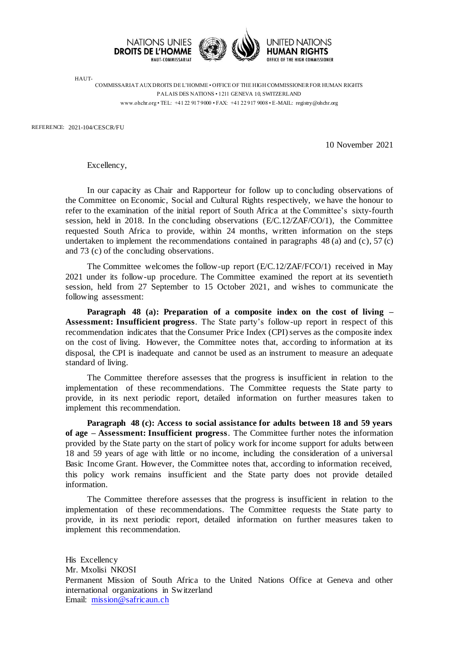

HAUT-COMMISSARIAT AUX DROITS DE L'HOMME • OFFICE OF THE HIGH COMMISSIONER FOR HUMAN RIGHTS PALAIS DES NATIONS • 1211 GENEVA 10, SWITZERLAND www.ohchr.org • TEL: +41 22 917 9000 • FAX: +41 22 917 9008 • E-MAIL: registry@ohchr.org

REFERENCE: 2021-104/CESCR/FU

10 November 2021

Excellency,

In our capacity as Chair and Rapporteur for follow up to concluding observations of the Committee on Economic, Social and Cultural Rights respectively, we have the honour to refer to the examination of the initial report of South Africa at the Committee's sixty-fourth session, held in 2018. In the concluding observations (E/C.12/ZAF/CO/1), the Committee requested South Africa to provide, within 24 months, written information on the steps undertaken to implement the recommendations contained in paragraphs  $48$  (a) and (c),  $57$  (c) and 73 (c) of the concluding observations.

The Committee welcomes the follow-up report (E/C.12/ZAF/FCO/1) received in May 2021 under its follow-up procedure. The Committee examined the report at its seventieth session, held from 27 September to 15 October 2021, and wishes to communicate the following assessment:

**Paragraph 48 (a): Preparation of a composite index on the cost of living – Assessment: Insufficient progress**. The State party's follow-up report in respect of this recommendation indicates that the Consumer Price Index (CPI) serves as the composite index on the cost of living. However, the Committee notes that, according to information at its disposal, the CPI is inadequate and cannot be used as an instrument to measure an adequate standard of living.

The Committee therefore assesses that the progress is insufficient in relation to the implementation of these recommendations. The Committee requests the State party to provide, in its next periodic report, detailed information on further measures taken to implement this recommendation.

**Paragraph 48 (c): Access to social assistance for adults between 18 and 59 years of age – Assessment: Insufficient progress**. The Committee further notes the information provided by the State party on the start of policy work for income support for adults between 18 and 59 years of age with little or no income, including the consideration of a universal Basic Income Grant. However, the Committee notes that, according to information received, this policy work remains insufficient and the State party does not provide detailed information.

The Committee therefore assesses that the progress is insufficient in relation to the implementation of these recommendations. The Committee requests the State party to provide, in its next periodic report, detailed information on further measures taken to implement this recommendation.

His Excellency Mr. Mxolisi NKOSI Permanent Mission of South Africa to the United Nations Office at Geneva and other international organizations in Switzerland Email: [mission@safricaun.ch](mailto:mission@safricaun.ch)